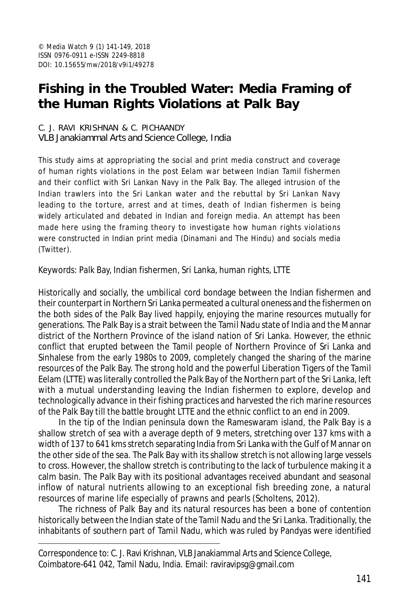# **Fishing in the Troubled Water: Media Framing of the Human Rights Violations at Palk Bay**

#### C. J. RAVI KRISHNAN & C. PICHAANDY VLB Janakiammal Arts and Science College, India

This study aims at appropriating the social and print media construct and coverage of human rights violations in the post Eelam war between Indian Tamil fishermen and their conflict with Sri Lankan Navy in the Palk Bay. The alleged intrusion of the Indian trawlers into the Sri Lankan water and the rebuttal by Sri Lankan Navy leading to the torture, arrest and at times, death of Indian fishermen is being widely articulated and debated in Indian and foreign media. An attempt has been made here using the framing theory to investigate how human rights violations were constructed in Indian print media (*Dinamani* and *The Hindu*) and socials media (Twitter).

Keywords: Palk Bay, Indian fishermen, Sri Lanka, human rights, LTTE

Historically and socially, the umbilical cord bondage between the Indian fishermen and their counterpart in Northern Sri Lanka permeated a cultural oneness and the fishermen on the both sides of the Palk Bay lived happily, enjoying the marine resources mutually for generations. The Palk Bay is a strait between the Tamil Nadu state of India and the Mannar district of the Northern Province of the island nation of Sri Lanka. However, the ethnic conflict that erupted between the Tamil people of Northern Province of Sri Lanka and Sinhalese from the early 1980s to 2009, completely changed the sharing of the marine resources of the Palk Bay. The strong hold and the powerful Liberation Tigers of the Tamil Eelam (LTTE) was literally controlled the Palk Bay of the Northern part of the Sri Lanka, left with a mutual understanding leaving the Indian fishermen to explore, develop and technologically advance in their fishing practices and harvested the rich marine resources of the Palk Bay till the battle brought LTTE and the ethnic conflict to an end in 2009.

In the tip of the Indian peninsula down the Rameswaram island, the Palk Bay is a shallow stretch of sea with a average depth of 9 meters, stretching over 137 kms with a width of 137 to 641 kms stretch separating India from Sri Lanka with the Gulf of Mannar on the other side of the sea. The Palk Bay with its shallow stretch is not allowing large vessels to cross. However, the shallow stretch is contributing to the lack of turbulence making it a calm basin. The Palk Bay with its positional advantages received abundant and seasonal inflow of natural nutrients allowing to an exceptional fish breeding zone, a natural resources of marine life especially of prawns and pearls (Scholtens, 2012).

The richness of Palk Bay and its natural resources has been a bone of contention historically between the Indian state of the Tamil Nadu and the Sri Lanka. Traditionally, the inhabitants of southern part of Tamil Nadu, which was ruled by Pandyas were identified

Correspondence to: C. J. Ravi Krishnan, VLB Janakiammal Arts and Science College, Coimbatore-641 042, Tamil Nadu, India. Email: raviravipsg@gmail.com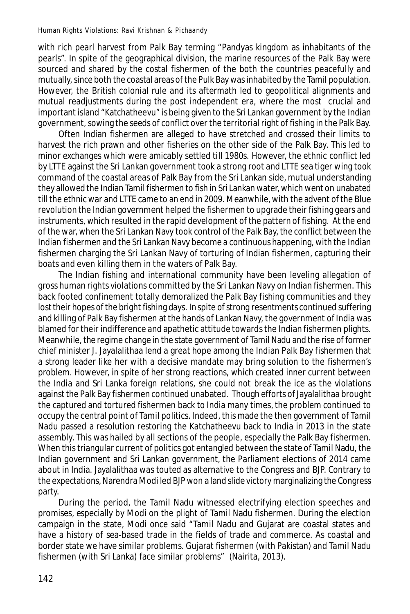with rich pearl harvest from Palk Bay terming "Pandyas kingdom as inhabitants of the pearls". In spite of the geographical division, the marine resources of the Palk Bay were sourced and shared by the costal fishermen of the both the countries peacefully and mutually, since both the coastal areas of the Pulk Bay was inhabited by the Tamil population. However, the British colonial rule and its aftermath led to geopolitical alignments and mutual readjustments during the post independent era, where the most crucial and important island "Katchatheevu" is being given to the Sri Lankan government by the Indian government, sowing the seeds of conflict over the territorial right of fishing in the Palk Bay.

Often Indian fishermen are alleged to have stretched and crossed their limits to harvest the rich prawn and other fisheries on the other side of the Palk Bay. This led to minor exchanges which were amicably settled till 1980s. However, the ethnic conflict led by LTTE against the Sri Lankan government took a strong root and LTTE sea tiger wing took command of the coastal areas of Palk Bay from the Sri Lankan side, mutual understanding they allowed the Indian Tamil fishermen to fish in Sri Lankan water, which went on unabated till the ethnic war and LTTE came to an end in 2009. Meanwhile, with the advent of the Blue revolution the Indian government helped the fishermen to upgrade their fishing gears and instruments, which resulted in the rapid development of the pattern of fishing. At the end of the war, when the Sri Lankan Navy took control of the Palk Bay, the conflict between the Indian fishermen and the Sri Lankan Navy become a continuous happening, with the Indian fishermen charging the Sri Lankan Navy of torturing of Indian fishermen, capturing their boats and even killing them in the waters of Palk Bay.

The Indian fishing and international community have been leveling allegation of gross human rights violations committed by the Sri Lankan Navy on Indian fishermen. This back footed confinement totally demoralized the Palk Bay fishing communities and they lost their hopes of the bright fishing days. In spite of strong resentments continued suffering and killing of Palk Bay fishermen at the hands of Lankan Navy, the government of India was blamed for their indifference and apathetic attitude towards the Indian fishermen plights. Meanwhile, the regime change in the state government of Tamil Nadu and the rise of former chief minister J. Jayalalithaa lend a great hope among the Indian Palk Bay fishermen that a strong leader like her with a decisive mandate may bring solution to the fishermen's problem. However, in spite of her strong reactions, which created inner current between the India and Sri Lanka foreign relations, she could not break the ice as the violations against the Palk Bay fishermen continued unabated. Though efforts of Jayalalithaa brought the captured and tortured fishermen back to India many times, the problem continued to occupy the central point of Tamil politics. Indeed, this made the then government of Tamil Nadu passed a resolution restoring the Katchatheevu back to India in 2013 in the state assembly. This was hailed by all sections of the people, especially the Palk Bay fishermen. When this triangular current of politics got entangled between the state of Tamil Nadu, the Indian government and Sri Lankan government, the Parliament elections of 2014 came about in India. Jayalalithaa was touted as alternative to the Congress and BJP. Contrary to the expectations, Narendra Modi led BJP won a land slide victory marginalizing the Congress party.

During the period, the Tamil Nadu witnessed electrifying election speeches and promises, especially by Modi on the plight of Tamil Nadu fishermen. During the election campaign in the state, Modi once said "Tamil Nadu and Gujarat are coastal states and have a history of sea-based trade in the fields of trade and commerce. As coastal and border state we have similar problems. Gujarat fishermen (with Pakistan) and Tamil Nadu fishermen (with Sri Lanka) face similar problems" (Nairita, 2013).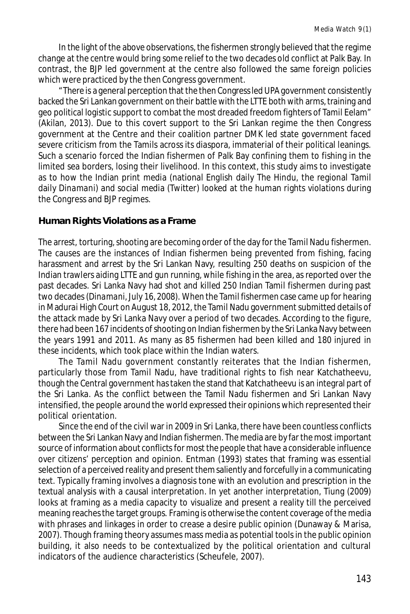In the light of the above observations, the fishermen strongly believed that the regime change at the centre would bring some relief to the two decades old conflict at Palk Bay. In contrast, the BJP led government at the centre also followed the same foreign policies which were practiced by the then Congress government.

"There is a general perception that the then Congress led UPA government consistently backed the Sri Lankan government on their battle with the LTTE both with arms, training and geo political logistic support to combat the most dreaded freedom fighters of Tamil Eelam" (Akilan, 2013). Due to this covert support to the Sri Lankan regime the then Congress government at the Centre and their coalition partner DMK led state government faced severe criticism from the Tamils across its diaspora, immaterial of their political leanings. Such a scenario forced the Indian fishermen of Palk Bay confining them to fishing in the limited sea borders, losing their livelihood. In this context, this study aims to investigate as to how the Indian print media (national English daily *The Hindu*, the regional Tamil daily *Dinamani*) and social media (Twitter) looked at the human rights violations during the Congress and BJP regimes.

#### **Human Rights Violations as a Frame**

The arrest, torturing, shooting are becoming order of the day for the Tamil Nadu fishermen. The causes are the instances of Indian fishermen being prevented from fishing, facing harassment and arrest by the Sri Lankan Navy, resulting 250 deaths on suspicion of the Indian trawlers aiding LTTE and gun running, while fishing in the area, as reported over the past decades. Sri Lanka Navy had shot and killed 250 Indian Tamil fishermen during past two decades (*Dinamani,* July 16, 2008). When the Tamil fishermen case came up for hearing in Madurai High Court on August 18, 2012, the Tamil Nadu government submitted details of the attack made by Sri Lanka Navy over a period of two decades. According to the figure, there had been 167 incidents of shooting on Indian fishermen by the Sri Lanka Navy between the years 1991 and 2011. As many as 85 fishermen had been killed and 180 injured in these incidents, which took place within the Indian waters.

The Tamil Nadu government constantly reiterates that the Indian fishermen, particularly those from Tamil Nadu, have traditional rights to fish near Katchatheevu, though the Central government has taken the stand that Katchatheevu is an integral part of the Sri Lanka. As the conflict between the Tamil Nadu fishermen and Sri Lankan Navy intensified, the people around the world expressed their opinions which represented their political orientation.

Since the end of the civil war in 2009 in Sri Lanka, there have been countless conflicts between the Sri Lankan Navy and Indian fishermen. The media are by far the most important source of information about conflicts for most the people that have a considerable influence over citizens' perception and opinion. Entman (1993) states that framing was essential selection of a perceived reality and present them saliently and forcefully in a communicating text. Typically framing involves a diagnosis tone with an evolution and prescription in the textual analysis with a causal interpretation. In yet another interpretation, Tiung (2009) looks at framing as a media capacity to visualize and present a reality till the perceived meaning reaches the target groups. Framing is otherwise the content coverage of the media with phrases and linkages in order to crease a desire public opinion (Dunaway & Marisa, 2007). Though framing theory assumes mass media as potential tools in the public opinion building, it also needs to be contextualized by the political orientation and cultural indicators of the audience characteristics (Scheufele, 2007).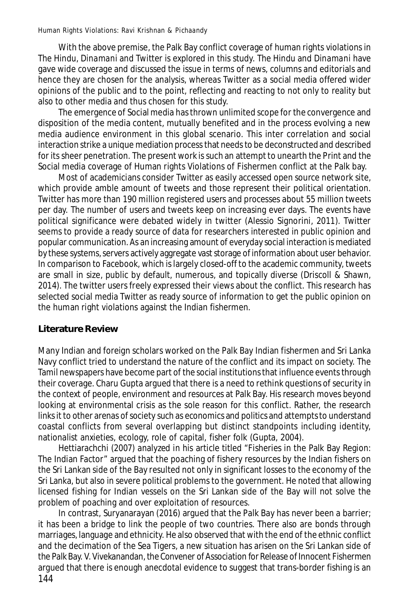With the above premise, the Palk Bay conflict coverage of human rights violations in *The Hindu*, *Dinamani* and Twitter is explored in this study. *The Hindu* and *Dinamani* have gave wide coverage and discussed the issue in terms of news, columns and editorials and hence they are chosen for the analysis, whereas Twitter as a social media offered wider opinions of the public and to the point, reflecting and reacting to not only to reality but also to other media and thus chosen for this study.

The emergence of Social media has thrown unlimited scope for the convergence and disposition of the media content, mutually benefited and in the process evolving a new media audience environment in this global scenario. This inter correlation and social interaction strike a unique mediation process that needs to be deconstructed and described for its sheer penetration. The present work is such an attempt to unearth the Print and the Social media coverage of Human rights Violations of Fishermen conflict at the Palk bay.

Most of academicians consider Twitter as easily accessed open source network site, which provide amble amount of tweets and those represent their political orientation. Twitter has more than 190 million registered users and processes about 55 million tweets per day. The number of users and tweets keep on increasing ever days. The events have political significance were debated widely in twitter (Alessio Signorini, 2011). Twitter seems to provide a ready source of data for researchers interested in public opinion and popular communication. As an increasing amount of everyday social interaction is mediated by these systems, servers actively aggregate vast storage of information about user behavior. In comparison to Facebook, which is largely closed-off to the academic community, tweets are small in size, public by default, numerous, and topically diverse (Driscoll & Shawn, 2014). The twitter users freely expressed their views about the conflict. This research has selected social media Twitter as ready source of information to get the public opinion on the human right violations against the Indian fishermen.

## **Literature Review**

Many Indian and foreign scholars worked on the Palk Bay Indian fishermen and Sri Lanka Navy conflict tried to understand the nature of the conflict and its impact on society. The Tamil newspapers have become part of the social institutions that influence events through their coverage. Charu Gupta argued that there is a need to rethink questions of security in the context of people, environment and resources at Palk Bay. His research moves beyond looking at environmental crisis as the sole reason for this conflict. Rather, the research links it to other arenas of society such as economics and politics and attempts to understand coastal conflicts from several overlapping but distinct standpoints including identity, nationalist anxieties, ecology, role of capital, fisher folk (Gupta, 2004).

Hettiarachchi (2007) analyzed in his article titled "Fisheries in the Palk Bay Region: The Indian Factor" argued that the poaching of fishery resources by the Indian fishers on the Sri Lankan side of the Bay resulted not only in significant losses to the economy of the Sri Lanka, but also in severe political problems to the government. He noted that allowing licensed fishing for Indian vessels on the Sri Lankan side of the Bay will not solve the problem of poaching and over exploitation of resources.

144 In contrast, Suryanarayan (2016) argued that the Palk Bay has never been a barrier; it has been a bridge to link the people of two countries. There also are bonds through marriages, language and ethnicity. He also observed that with the end of the ethnic conflict and the decimation of the Sea Tigers, a new situation has arisen on the Sri Lankan side of the Palk Bay. V. Vivekanandan, the Convener of Association for Release of Innocent Fishermen argued that there is enough anecdotal evidence to suggest that trans-border fishing is an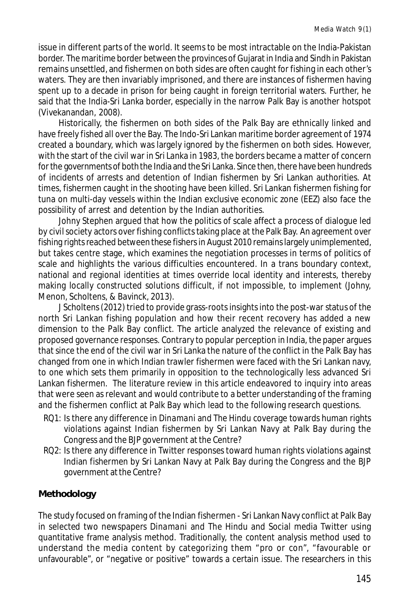issue in different parts of the world. It seems to be most intractable on the India-Pakistan border. The maritime border between the provinces of Gujarat in India and Sindh in Pakistan remains unsettled, and fishermen on both sides are often caught for fishing in each other's waters. They are then invariably imprisoned, and there are instances of fishermen having spent up to a decade in prison for being caught in foreign territorial waters. Further, he said that the India-Sri Lanka border, especially in the narrow Palk Bay is another hotspot (Vivekanandan, 2008).

Historically, the fishermen on both sides of the Palk Bay are ethnically linked and have freely fished all over the Bay. The Indo-Sri Lankan maritime border agreement of 1974 created a boundary, which was largely ignored by the fishermen on both sides. However, with the start of the civil war in Sri Lanka in 1983, the borders became a matter of concern for the governments of both the India and the Sri Lanka. Since then, there have been hundreds of incidents of arrests and detention of Indian fishermen by Sri Lankan authorities. At times, fishermen caught in the shooting have been killed. Sri Lankan fishermen fishing for tuna on multi-day vessels within the Indian exclusive economic zone (EEZ) also face the possibility of arrest and detention by the Indian authorities.

Johny Stephen argued that how the politics of scale affect a process of dialogue led by civil society actors over fishing conflicts taking place at the Palk Bay. An agreement over fishing rights reached between these fishers in August 2010 remains largely unimplemented, but takes centre stage, which examines the negotiation processes in terms of politics of scale and highlights the various difficulties encountered. In a trans boundary context, national and regional identities at times override local identity and interests, thereby making locally constructed solutions difficult, if not impossible, to implement (Johny, Menon, Scholtens, & Bavinck, 2013).

J Scholtens (2012) tried to provide grass-roots insights into the post-war status of the north Sri Lankan fishing population and how their recent recovery has added a new dimension to the Palk Bay conflict. The article analyzed the relevance of existing and proposed governance responses. Contrary to popular perception in India, the paper argues that since the end of the civil war in Sri Lanka the nature of the conflict in the Palk Bay has changed from one in which Indian trawler fishermen were faced with the Sri Lankan navy, to one which sets them primarily in opposition to the technologically less advanced Sri Lankan fishermen. The literature review in this article endeavored to inquiry into areas that were seen as relevant and would contribute to a better understanding of the framing and the fishermen conflict at Palk Bay which lead to the following research questions.

- RQ1: Is there any difference in *Dinamani* and *The Hindu* coverage towards human rights violations against Indian fishermen by Sri Lankan Navy at Palk Bay during the Congress and the BJP government at the Centre?
- RQ2: Is there any difference in Twitter responses toward human rights violations against Indian fishermen by Sri Lankan Navy at Palk Bay during the Congress and the BJP government at the Centre?

## **Methodology**

The study focused on framing of the Indian fishermen - Sri Lankan Navy conflict at Palk Bay in selected two newspapers *Dinamani* and *The Hindu* and Social media Twitter using quantitative frame analysis method. Traditionally, the content analysis method used to understand the media content by categorizing them "pro or con", "favourable or unfavourable", or "negative or positive" towards a certain issue. The researchers in this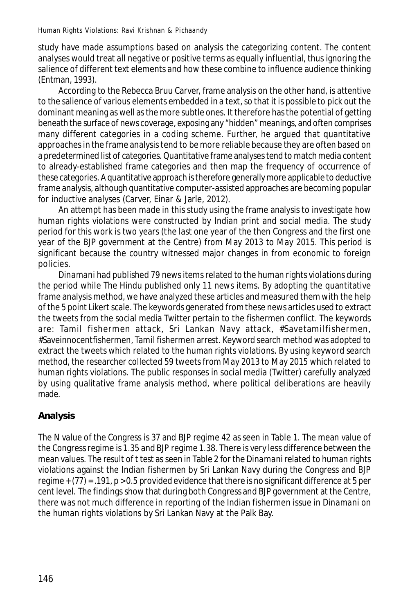study have made assumptions based on analysis the categorizing content. The content analyses would treat all negative or positive terms as equally influential, thus ignoring the salience of different text elements and how these combine to influence audience thinking (Entman, 1993).

According to the Rebecca Bruu Carver, frame analysis on the other hand, is attentive to the salience of various elements embedded in a text, so that it is possible to pick out the dominant meaning as well as the more subtle ones. It therefore has the potential of getting beneath the surface of news coverage, exposing any "hidden" meanings, and often comprises many different categories in a coding scheme. Further, he argued that quantitative approaches in the frame analysis tend to be more reliable because they are often based on a predetermined list of categories. Quantitative frame analyses tend to match media content to already-established frame categories and then map the frequency of occurrence of these categories. A quantitative approach is therefore generally more applicable to deductive frame analysis, although quantitative computer-assisted approaches are becoming popular for inductive analyses (Carver, Einar & Jarle, 2012).

An attempt has been made in this study using the frame analysis to investigate how human rights violations were constructed by Indian print and social media. The study period for this work is two years (the last one year of the then Congress and the first one year of the BJP government at the Centre) from May 2013 to May 2015. This period is significant because the country witnessed major changes in from economic to foreign policies.

*Dinamani* had published 79 news items related to the human rights violations during the period while *The Hindu* published only 11 news items. By adopting the quantitative frame analysis method, we have analyzed these articles and measured them with the help of the 5 point Likert scale. The keywords generated from these news articles used to extract the tweets from the social media Twitter pertain to the fishermen conflict. The keywords are: Tamil fishermen attack, Sri Lankan Navy attack, #Savetamilfishermen, #Saveinnocentfishermen, Tamil fishermen arrest. Keyword search method was adopted to extract the tweets which related to the human rights violations. By using keyword search method, the researcher collected 59 tweets from May 2013 to May 2015 which related to human rights violations. The public responses in social media (Twitter) carefully analyzed by using qualitative frame analysis method, where political deliberations are heavily made.

# **Analysis**

The N value of the Congress is 37 and BJP regime 42 as seen in Table 1. The mean value of the Congress regime is 1.35 and BJP regime 1.38. There is very less difference between the mean values. The result of t test as seen in Table 2 for the *Dinamani* related to human rights violations against the Indian fishermen by Sri Lankan Navy during the Congress and BJP regime  $+$  (77) = .191,  $p > 0.5$  provided evidence that there is no significant difference at 5 per cent level. The findings show that during both Congress and BJP government at the Centre, there was not much difference in reporting of the Indian fishermen issue in *Dinamani* on the human rights violations by Sri Lankan Navy at the Palk Bay.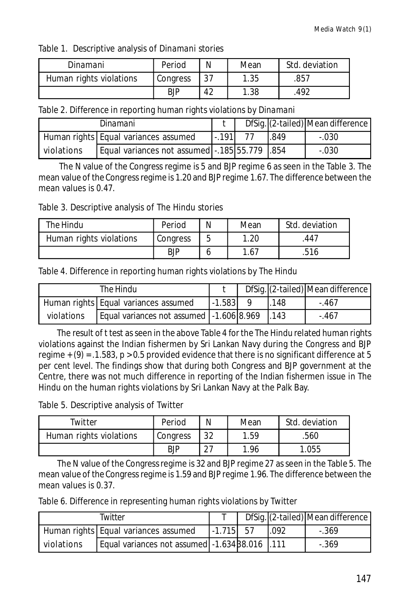Table 1. Descriptive analysis of *Dinamani* stories

| Dinamani                | Period     | N  | Mean | Std. deviation |  |
|-------------------------|------------|----|------|----------------|--|
| Human rights violations | Congress   | 37 | 1.35 | .857           |  |
|                         | <b>BJP</b> | 42 | .38  | .492           |  |

Table 2. Difference in reporting human rights violations by *Dinamani*

|            | Dinamani                                     |          |     | DfSig. (2-tailed) Mean difference |
|------------|----------------------------------------------|----------|-----|-----------------------------------|
|            | Human rights   Equal variances assumed       | ' - 191l | 849 | $-.030$                           |
| violations | Equal variances not assumed - 185 55.779 354 |          |     | $-.030$                           |

 The N value of the Congress regime is 5 and BJP regime 6 as seen in the Table 3. The mean value of the Congress regime is 1.20 and BJP regime 1.67. The difference between the mean values is 0.47.

Table 3. Descriptive analysis of *The Hindu* stories

| The Hindu               | Period     | N | Mean | Std. deviation |  |
|-------------------------|------------|---|------|----------------|--|
| Human rights violations | Congress   |   | .20  | .447           |  |
|                         | <b>BJP</b> |   | 1.67 | 516.           |  |

Table 4. Difference in reporting human rights violations by *The Hindu*

| The Hindu  |                                                   |            |      | DfSig. (2-tailed) Mean difference |
|------------|---------------------------------------------------|------------|------|-----------------------------------|
|            | Human rights   Equal variances assumed            | $-1.583$ 9 | .148 | $-.467$                           |
| violations | Equal variances not assumed   -1.606 8.969   .143 |            |      | -.467                             |

 The result of t test as seen in the above Table 4 for the *The Hindu* related human rights violations against the Indian fishermen by Sri Lankan Navy during the Congress and BJP regime  $+$  (9) = .1.583, p > 0.5 provided evidence that there is no significant difference at 5 per cent level. The findings show that during both Congress and BJP government at the Centre, there was not much difference in reporting of the Indian fishermen issue in *The Hindu* on the human rights violations by Sri Lankan Navy at the Palk Bay.

Table 5. Descriptive analysis of Twitter

| Twitter                 | Period     | N             | Mean | Std. deviation |  |
|-------------------------|------------|---------------|------|----------------|--|
| Human rights violations | Congress   | つつ            | .59  | .560           |  |
|                         | <b>BJP</b> | $\mathcal{L}$ | -96  | .055           |  |

 The N value of the Congress regime is 32 and BJP regime 27 as seen in the Table 5. The mean value of the Congress regime is 1.59 and BJP regime 1.96. The difference between the mean values is 0.37.

Table 6. Difference in representing human rights violations by Twitter

| Twitter    |                                                |             |      | DfSig. (2-tailed) Mean difference |
|------------|------------------------------------------------|-------------|------|-----------------------------------|
|            | Human rights Equal variances assumed           | $-1.715$ 57 | .092 | $-.369$                           |
| violations | Equal variances not assumed -1.634 38.016 .111 |             |      | $-.369$                           |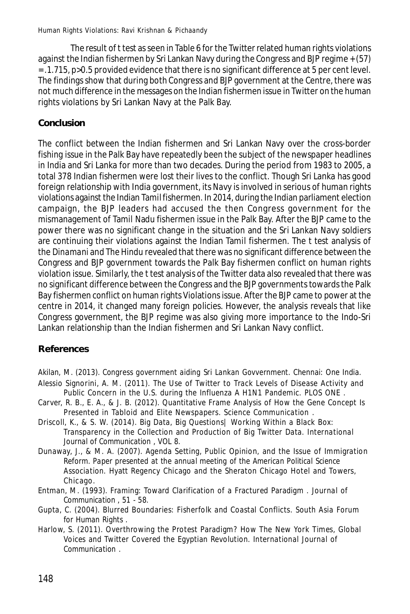The result of t test as seen in Table 6 for the Twitter related human rights violations against the Indian fishermen by Sri Lankan Navy during the Congress and BJP regime + (57) = .1.715, p>0.5 provided evidence that there is no significant difference at 5 per cent level. The findings show that during both Congress and BJP government at the Centre, there was not much difference in the messages on the Indian fishermen issue in Twitter on the human rights violations by Sri Lankan Navy at the Palk Bay.

# **Conclusion**

The conflict between the Indian fishermen and Sri Lankan Navy over the cross-border fishing issue in the Palk Bay have repeatedly been the subject of the newspaper headlines in India and Sri Lanka for more than two decades. During the period from 1983 to 2005, a total 378 Indian fishermen were lost their lives to the conflict. Though Sri Lanka has good foreign relationship with India government, its Navy is involved in serious of human rights violations against the Indian Tamil fishermen. In 2014, during the Indian parliament election campaign, the BJP leaders had accused the then Congress government for the mismanagement of Tamil Nadu fishermen issue in the Palk Bay. After the BJP came to the power there was no significant change in the situation and the Sri Lankan Navy soldiers are continuing their violations against the Indian Tamil fishermen. The t test analysis of the *Dinamani* and *The Hindu* revealed that there was no significant difference between the Congress and BJP government towards the Palk Bay fishermen conflict on human rights violation issue. Similarly, the t test analysis of the Twitter data also revealed that there was no significant difference between the Congress and the BJP governments towards the Palk Bay fishermen conflict on human rights Violations issue. After the BJP came to power at the centre in 2014, it changed many foreign policies. However, the analysis reveals that like Congress government, the BJP regime was also giving more importance to the Indo-Sri Lankan relationship than the Indian fishermen and Sri Lankan Navy conflict.

# **References**

- Akilan, M. (2013). *Congress government aiding Sri Lankan Govvernment.* Chennai: One India. Alessio Signorini, A. M. (2011). The Use of Twitter to Track Levels of Disease Activity and
- Public Concern in the U.S. during the Influenza A H1N1 Pandemic. *PLOS ONE* .
- Carver, R. B., E. A., & J. B. (2012). Quantitative Frame Analysis of How the Gene Concept Is Presented in Tabloid and Elite Newspapers. *Science Communication* .
- Driscoll, K., & S. W. (2014). Big Data, Big Questions| Working Within a Black Box: Transparency in the Collection and Production of Big Twitter Data. *International Journal of Communication* , VOL 8.
- Dunaway, J., & M. A. (2007). Agenda Setting, Public Opinion, and the Issue of Immigration Reform. *Paper presented at the annual meeting of the American Political Science Association.* Hyatt Regency Chicago and the Sheraton Chicago Hotel and Towers, Chicago.
- Entman, M. (1993). Framing: Toward Clarification of a Fractured Paradigm . *Journal of Communication* , 51 - 58.
- Gupta, C. (2004). Blurred Boundaries: Fisherfolk and Coastal Conflicts. *South Asia Forum for Human Rights* .
- Harlow, S. (2011). Overthrowing the Protest Paradigm? How The New York Times, Global Voices and Twitter Covered the Egyptian Revolution. *International Journal of Communication* .